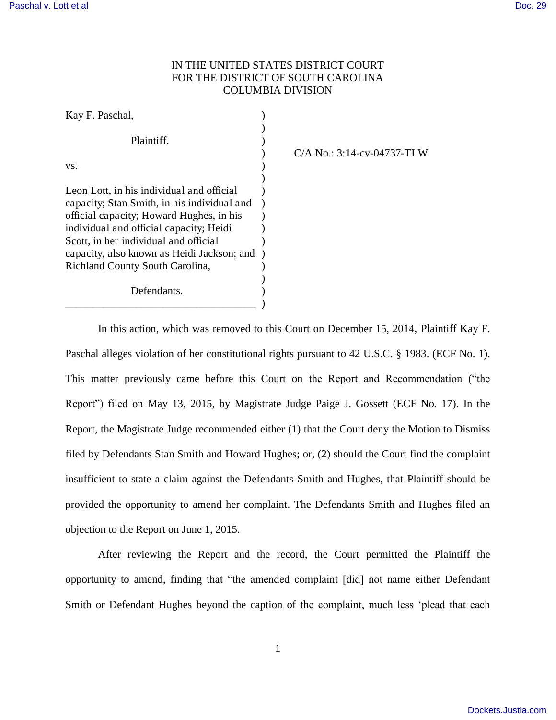## IN THE UNITED STATES DISTRICT COURT FOR THE DISTRICT OF SOUTH CAROLINA COLUMBIA DIVISION

| Kay F. Paschal,                             |  |
|---------------------------------------------|--|
|                                             |  |
| Plaintiff,                                  |  |
|                                             |  |
| VS.                                         |  |
|                                             |  |
| Leon Lott, in his individual and official   |  |
| capacity; Stan Smith, in his individual and |  |
| official capacity; Howard Hughes, in his    |  |
| individual and official capacity; Heidi     |  |
| Scott, in her individual and official       |  |
| capacity, also known as Heidi Jackson; and  |  |
| Richland County South Carolina,             |  |
|                                             |  |
| Defendants.                                 |  |
|                                             |  |

## ) C/A No.: 3:14-cv-04737-TLW

 In this action, which was removed to this Court on December 15, 2014, Plaintiff Kay F. Paschal alleges violation of her constitutional rights pursuant to 42 U.S.C. § 1983. (ECF No. 1). This matter previously came before this Court on the Report and Recommendation ("the Report") filed on May 13, 2015, by Magistrate Judge Paige J. Gossett (ECF No. 17). In the Report, the Magistrate Judge recommended either (1) that the Court deny the Motion to Dismiss filed by Defendants Stan Smith and Howard Hughes; or, (2) should the Court find the complaint insufficient to state a claim against the Defendants Smith and Hughes, that Plaintiff should be provided the opportunity to amend her complaint. The Defendants Smith and Hughes filed an objection to the Report on June 1, 2015.

After reviewing the Report and the record, the Court permitted the Plaintiff the opportunity to amend, finding that "the amended complaint [did] not name either Defendant Smith or Defendant Hughes beyond the caption of the complaint, much less 'plead that each